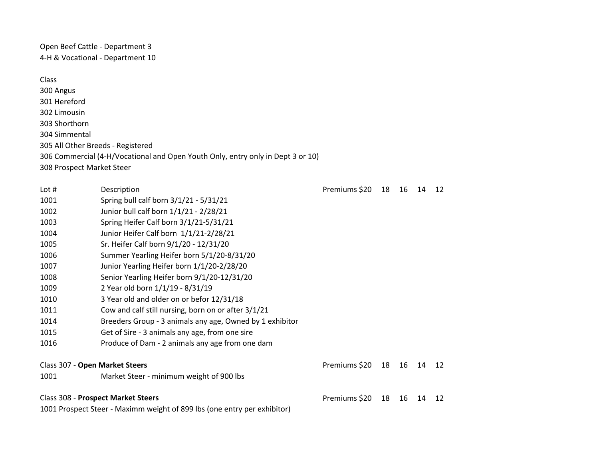Open Beef Cattle - Department 3 4-H & Vocational - Department 10

## Class

300 Angus 301 Hereford 302 Limousin 303 Shorthorn 304 Simmental 305 All Other Breeds - Registered 306 Commercial (4-H/Vocational and Open Youth Only, entry only in Dept 3 or 10) 308 Prospect Market Steer

| Lot $#$                                                                  | Description                                              | Premiums \$20 | 18 | 16 | 14 | 12 |
|--------------------------------------------------------------------------|----------------------------------------------------------|---------------|----|----|----|----|
| 1001                                                                     | Spring bull calf born 3/1/21 - 5/31/21                   |               |    |    |    |    |
| 1002                                                                     | Junior bull calf born 1/1/21 - 2/28/21                   |               |    |    |    |    |
| 1003                                                                     | Spring Heifer Calf born 3/1/21-5/31/21                   |               |    |    |    |    |
| 1004                                                                     | Junior Heifer Calf born 1/1/21-2/28/21                   |               |    |    |    |    |
| 1005                                                                     | Sr. Heifer Calf born 9/1/20 - 12/31/20                   |               |    |    |    |    |
| 1006                                                                     | Summer Yearling Heifer born 5/1/20-8/31/20               |               |    |    |    |    |
| 1007                                                                     | Junior Yearling Heifer born 1/1/20-2/28/20               |               |    |    |    |    |
| 1008                                                                     | Senior Yearling Heifer born 9/1/20-12/31/20              |               |    |    |    |    |
| 1009                                                                     | 2 Year old born 1/1/19 - 8/31/19                         |               |    |    |    |    |
| 1010                                                                     | 3 Year old and older on or befor 12/31/18                |               |    |    |    |    |
| 1011                                                                     | Cow and calf still nursing, born on or after 3/1/21      |               |    |    |    |    |
| 1014                                                                     | Breeders Group - 3 animals any age, Owned by 1 exhibitor |               |    |    |    |    |
| 1015                                                                     | Get of Sire - 3 animals any age, from one sire           |               |    |    |    |    |
| 1016                                                                     | Produce of Dam - 2 animals any age from one dam          |               |    |    |    |    |
| Class 307 - Open Market Steers                                           |                                                          | Premiums \$20 | 18 | 16 | 14 | 12 |
| 1001                                                                     | Market Steer - minimum weight of 900 lbs                 |               |    |    |    |    |
| <b>Class 308 - Prospect Market Steers</b>                                |                                                          | Premiums \$20 | 18 | 16 | 14 | 12 |
| 1001 Prospect Steer - Maximm weight of 899 lbs (one entry per exhibitor) |                                                          |               |    |    |    |    |